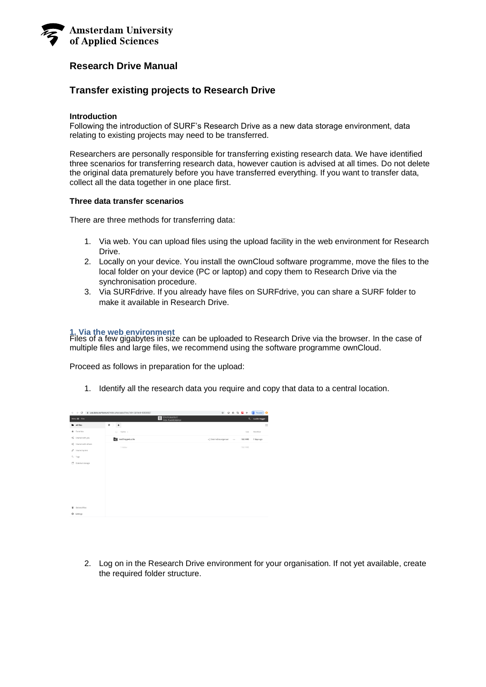

# **Research Drive Manual**

## **Transfer existing projects to Research Drive**

### **Introduction**

Following the introduction of SURF's Research Drive as a new data storage environment, data relating to existing projects may need to be transferred.

Researchers are personally responsible for transferring existing research data. We have identified three scenarios for transferring research data, however caution is advised at all times. Do not delete the original data prematurely before you have transferred everything. If you want to transfer data, collect all the data together in one place first.

#### **Three data transfer scenarios**

There are three methods for transferring data:

- 1. Via web. You can upload files using the upload facility in the web environment for Research Drive.
- 2. Locally on your device. You install the ownCloud software programme, move the files to the local folder on your device (PC or laptop) and copy them to Research Drive via the synchronisation procedure.
- 3. Via SURFdrive. If you already have files on SURFdrive, you can share a SURF folder to make it available in Research Drive.

## **1. Via the web environment**

Files of a few gigabytes in size can be uploaded to Research Drive via the browser. In the case of multiple files and large files, we recommend using the software programme ownCloud.

Proceed as follows in preparation for the upload:

1. Identify all the research data you require and copy that data to a central location.

|                                 | $\leftarrow$ $\rightarrow$ $C$ $\rightarrow$ $\alpha$ and $\alpha$ surfsara nillndex photopositiles ?dir = (6/lield = 6868687) |                        |          |          | $\begin{picture}(180,10) \put(0,0){\line(1,0){10}} \put(10,0){\line(1,0){10}} \put(10,0){\line(1,0){10}} \put(10,0){\line(1,0){10}} \put(10,0){\line(1,0){10}} \put(10,0){\line(1,0){10}} \put(10,0){\line(1,0){10}} \put(10,0){\line(1,0){10}} \put(10,0){\line(1,0){10}} \put(10,0){\line(1,0){10}} \put(10,0){\line(1,0){10}} \put(10,0){\line($ |    |
|---------------------------------|--------------------------------------------------------------------------------------------------------------------------------|------------------------|----------|----------|-----------------------------------------------------------------------------------------------------------------------------------------------------------------------------------------------------------------------------------------------------------------------------------------------------------------------------------------------------|----|
| Menu E Files                    | <b>UNIVERSITEIT</b><br>WAN AMSTERDAM                                                                                           |                        |          |          | Q. Lucille Hegger                                                                                                                                                                                                                                                                                                                                   |    |
| All files                       | $\bullet$ ).<br>$^{\rm +}$                                                                                                     |                        |          |          |                                                                                                                                                                                                                                                                                                                                                     | H. |
| * Favorites                     | $\Box$ Name $\sim$                                                                                                             |                        |          | Size     | Modified                                                                                                                                                                                                                                                                                                                                            |    |
| Shared with you                 | testfimpje4Lucile                                                                                                              | <2 ExterneDataeigenaar | $-0.013$ | 136.9 MB | 7 days ago                                                                                                                                                                                                                                                                                                                                          |    |
| <2 Shared with others           | 1 folder                                                                                                                       |                        |          | 136.9 MB |                                                                                                                                                                                                                                                                                                                                                     |    |
| $\mathscr{O}$ Shared by link    |                                                                                                                                |                        |          |          |                                                                                                                                                                                                                                                                                                                                                     |    |
| O, Tags                         |                                                                                                                                |                        |          |          |                                                                                                                                                                                                                                                                                                                                                     |    |
| [ <sup>表</sup> External storage |                                                                                                                                |                        |          |          |                                                                                                                                                                                                                                                                                                                                                     |    |
|                                 |                                                                                                                                |                        |          |          |                                                                                                                                                                                                                                                                                                                                                     |    |
|                                 |                                                                                                                                |                        |          |          |                                                                                                                                                                                                                                                                                                                                                     |    |
|                                 |                                                                                                                                |                        |          |          |                                                                                                                                                                                                                                                                                                                                                     |    |
|                                 |                                                                                                                                |                        |          |          |                                                                                                                                                                                                                                                                                                                                                     |    |
|                                 |                                                                                                                                |                        |          |          |                                                                                                                                                                                                                                                                                                                                                     |    |
|                                 |                                                                                                                                |                        |          |          |                                                                                                                                                                                                                                                                                                                                                     |    |
| <b>B</b> Deleted files          |                                                                                                                                |                        |          |          |                                                                                                                                                                                                                                                                                                                                                     |    |
| <b>O</b> Settings               |                                                                                                                                |                        |          |          |                                                                                                                                                                                                                                                                                                                                                     |    |
|                                 |                                                                                                                                |                        |          |          |                                                                                                                                                                                                                                                                                                                                                     |    |

2. Log on in the Research Drive environment for your organisation. If not yet available, create the required folder structure.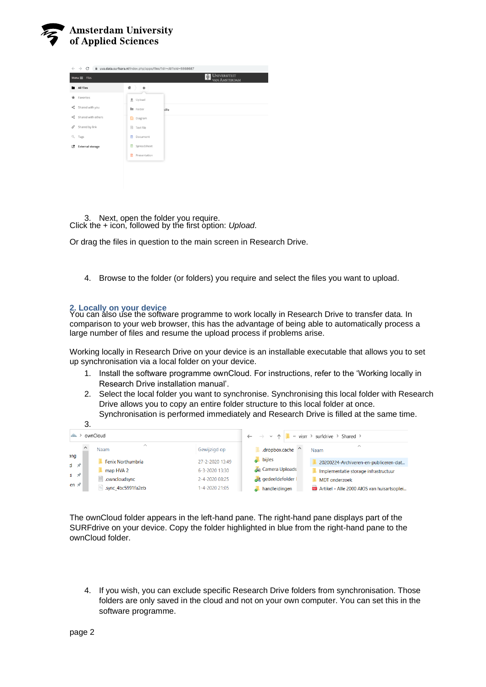

| C<br>m uva.data.surfsara.nl/index.php/apps/files/?dir=/&fileid=6868687<br>$\leftarrow$ $\rightarrow$ |                                                                         |    |                    |       |  |  |  |
|------------------------------------------------------------------------------------------------------|-------------------------------------------------------------------------|----|--------------------|-------|--|--|--|
|                                                                                                      | <b>UNIVERSITEIT</b><br>뼾<br>$Menu \equiv$ Files<br><b>VAN AMSTERDAM</b> |    |                    |       |  |  |  |
| ٠                                                                                                    | All files                                                               | 솔  | $\ddot{}$          |       |  |  |  |
| *                                                                                                    | Favorites                                                               |    | $#$ Upload         |       |  |  |  |
| K.                                                                                                   | Shared with you                                                         |    | <b>E</b> Folder    | cille |  |  |  |
| ≺                                                                                                    | Shared with others                                                      | R. | Diagram            |       |  |  |  |
| P                                                                                                    | Shared by link                                                          |    | <b>日 Text file</b> |       |  |  |  |
| Q                                                                                                    | Tags                                                                    | n  | Document           |       |  |  |  |
| 國                                                                                                    | <b>External storage</b>                                                 | ۰  | Spreadsheet        |       |  |  |  |
|                                                                                                      |                                                                         | a  | Presentation       |       |  |  |  |
|                                                                                                      |                                                                         |    |                    |       |  |  |  |
|                                                                                                      |                                                                         |    |                    |       |  |  |  |

3. Next, open the folder you require. Click the + icon, followed by the first option: *Upload*.

Or drag the files in question to the main screen in Research Drive.

4. Browse to the folder (or folders) you require and select the files you want to upload.

## **2. Locally on your device**

You can also use the software programme to work locally in Research Drive to transfer data. In comparison to your web browser, this has the advantage of being able to automatically process a large number of files and resume the upload process if problems arise.

Working locally in Research Drive on your device is an installable executable that allows you to set up synchronisation via a local folder on your device.

- 1. Install the software programme ownCloud. For instructions, refer to the 'Working locally in Research Drive installation manual'.
- 2. Select the local folder you want to synchronise. Synchronising this local folder with Research Drive allows you to copy an entire folder structure to this local folder at once. Synchronisation is performed immediately and Research Drive is filled at the same time.

|                                     | 3.                               |                 |                                                                                      |                                                       |  |  |
|-------------------------------------|----------------------------------|-----------------|--------------------------------------------------------------------------------------|-------------------------------------------------------|--|--|
| ownCloud                            |                                  |                 | $\leftarrow$ $\rightarrow$ $\vee$ $\uparrow$ <b>I</b> « visrr > surfdrive > Shared > |                                                       |  |  |
|                                     | $\wedge$<br>Gewijzigd op<br>Naam |                 | .dropbox.cache                                                                       | $\wedge$<br>Naam                                      |  |  |
| ang<br>$d \nightharpoonup$          | Fenix Northumbria                | 27-2-2020 13:49 | <b>bijles</b>                                                                        | 20200224-Archiveren-en-publiceren-dat                 |  |  |
|                                     | map HVA 2                        | 6-3-2020 13:30  | <b>Camera Uploads</b>                                                                | Implementatie storage infrastructuur<br>MDT onderzoek |  |  |
| $S \nightharpoonup \nightharpoonup$ | $\Box$ .owncloudsync             | 2-4-2020 08:25  | gedeeldefolder I                                                                     |                                                       |  |  |
| en $\not\equiv$                     | sync_4bc5991fa2eb                | -4-2020 21:05   | handleidingen                                                                        | Artikel - Alle 2000 AIOS van huisartsoplei            |  |  |

The ownCloud folder appears in the left-hand pane. The right-hand pane displays part of the SURFdrive on your device. Copy the folder highlighted in blue from the right-hand pane to the ownCloud folder.

4. If you wish, you can exclude specific Research Drive folders from synchronisation. Those folders are only saved in the cloud and not on your own computer. You can set this in the software programme.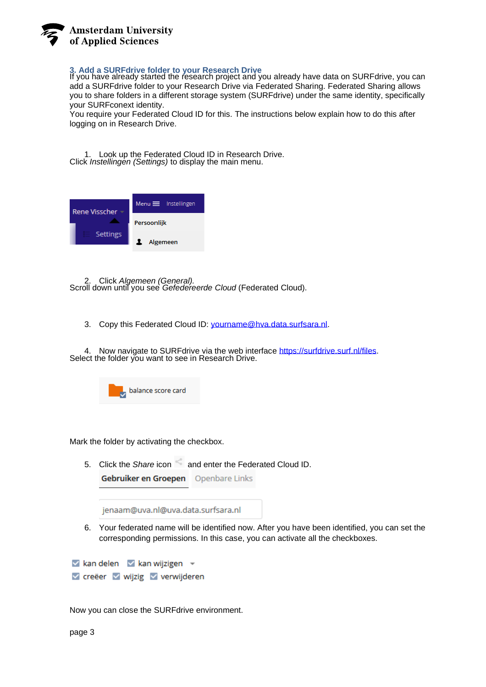

## **3. Add a SURFdrive folder to your Research Drive**

If you have already started the research project and you already have data on SURFdrive, you can add a SURFdrive folder to your Research Drive via Federated Sharing. Federated Sharing allows you to share folders in a different storage system (SURFdrive) under the same identity, specifically your SURFconext identity.

You require your Federated Cloud ID for this. The instructions below explain how to do this after logging on in Research Drive.

1. Look up the Federated Cloud ID in Research Drive. Click *Instellingen (Settings)* to display the main menu.



2. Click *Algemeen (General).* Scroll down until you see *Gefedereerde Cloud* (Federated Cloud).

3. Copy this Federated Cloud ID: [yourname@hva.data.surfsara.nl.](mailto:yourname@hva.data.surfsara.nl)

4. Now navigate to SURFdrive via the web interface [https://surfdrive.surf.nl/files.](https://surfdrive.surf.nl/files) Select the folder you want to see in Research Drive.



Mark the folder by activating the checkbox.

5. Click the *Share* icon and enter the Federated Cloud ID. .<br>Gebruiker en Groepen

| Gebruiker en Groepen | <b>ODENDATE LINKS</b> |
|----------------------|-----------------------|
|                      |                       |

jenaam@uva.nl@uva.data.surfsara.nl

6. Your federated name will be identified now. After you have been identified, you can set the corresponding permissions. In this case, you can activate all the checkboxes.

 $\vee$  kan delen  $\vee$  kan wijzigen  $\vee$ v creëer v wijzig v verwijderen

Now you can close the SURFdrive environment.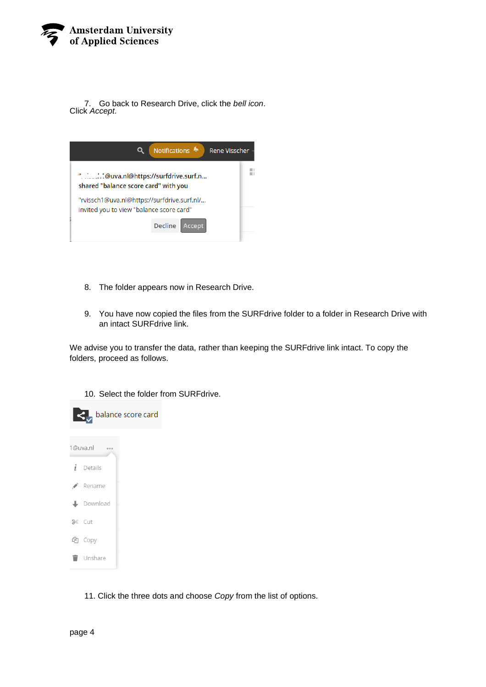

7. Go back to Research Drive, click the *bell icon*. Click *Accept*.

| Notifications •<br><b>Rene Visscher</b>                                                 |  |  |  |  |  |
|-----------------------------------------------------------------------------------------|--|--|--|--|--|
| "@uva.nl@https://surfdrive.surf.n<br>shared "balance score card" with you               |  |  |  |  |  |
| "rvissch1@uva.nl@https://surfdrive.surf.nl/<br>invited you to view "balance score card" |  |  |  |  |  |
| <b>Decline</b><br>Accept                                                                |  |  |  |  |  |

- 8. The folder appears now in Research Drive.
- 9. You have now copied the files from the SURFdrive folder to a folder in Research Drive with an intact SURFdrive link.

We advise you to transfer the data, rather than keeping the SURFdrive link intact. To copy the folders, proceed as follows.

10. Select the folder from SURFdrive.



11. Click the three dots and choose *Copy* from the list of options.